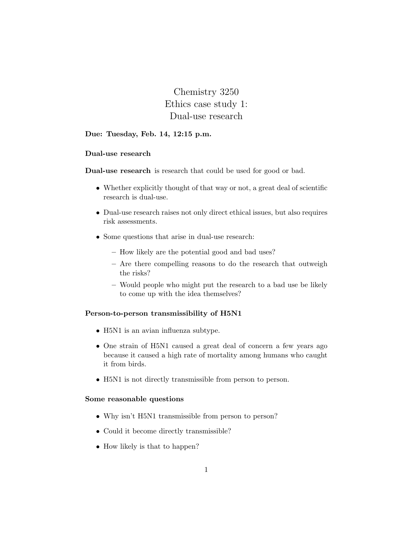Chemistry 3250 Ethics case study 1: Dual-use research

# Due: Tuesday, Feb. 14, 12:15 p.m.

## Dual-use research

Dual-use research is research that could be used for good or bad.

- Whether explicitly thought of that way or not, a great deal of scientific research is dual-use.
- Dual-use research raises not only direct ethical issues, but also requires risk assessments.
- Some questions that arise in dual-use research:
	- How likely are the potential good and bad uses?
	- Are there compelling reasons to do the research that outweigh the risks?
	- Would people who might put the research to a bad use be likely to come up with the idea themselves?

## Person-to-person transmissibility of H5N1

- H5N1 is an avian influenza subtype.
- One strain of H5N1 caused a great deal of concern a few years ago because it caused a high rate of mortality among humans who caught it from birds.
- H5N1 is not directly transmissible from person to person.

# Some reasonable questions

- Why isn't H5N1 transmissible from person to person?
- Could it become directly transmissible?
- How likely is that to happen?